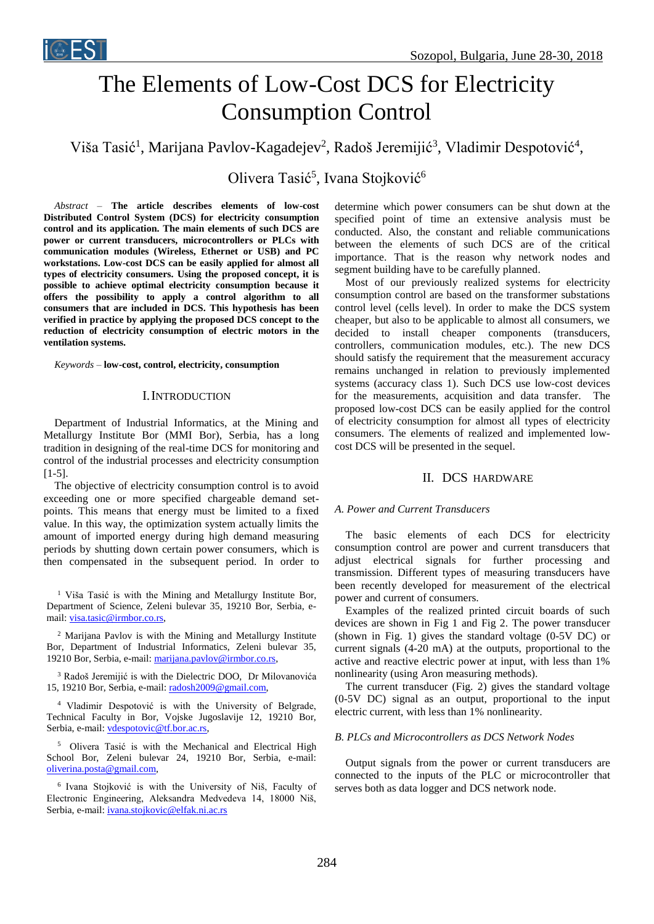

# The Elements of Low-Cost DCS for Electricity Consumption Control

Viša Tasić<sup>1</sup>, Marijana Pavlov-Kagadejev<sup>2</sup>, Radoš Jeremijić<sup>3</sup>, Vladimir Despotović<sup>4</sup>,

# Olivera Tasić<sup>5</sup>, Ivana Stojković<sup>6</sup>

*Abstract –* **The article describes elements of low-cost Distributed Control System (DCS) for electricity consumption control and its application. The main elements of such DCS are power or current transducers, microcontrollers or PLCs with communication modules (Wireless, Ethernet or USB) and PC workstations. Low-cost DCS can be easily applied for almost all types of electricity consumers. Using the proposed concept, it is possible to achieve optimal electricity consumption because it offers the possibility to apply a control algorithm to all consumers that are included in DCS. This hypothesis has been verified in practice by applying the proposed DCS concept to the reduction of electricity consumption of electric motors in the ventilation systems.**

*Keywords –* **low-cost, control, electricity, consumption** 

#### I.INTRODUCTION

Department of Industrial Informatics, at the Mining and Metallurgy Institute Bor (MMI Bor), Serbia, has a long tradition in designing of the real-time DCS for monitoring and control of the industrial processes and electricity consumption [1-5].

The objective of electricity consumption control is to avoid exceeding one or more specified chargeable demand setpoints. This means that energy must be limited to a fixed value. In this way, the optimization system actually limits the amount of imported energy during high demand measuring periods by shutting down certain power consumers, which is then compensated in the subsequent period. In order to

<sup>1</sup> Viša Tasić is with the Mining and Metallurgy Institute Bor, Department of Science, Zeleni bulevar 35, 19210 Bor, Serbia, email: [visa.tasic@irmbor.co.rs,](mailto:visa.tasic@irmbor.co.rs)

<sup>2</sup> Marijana Pavlov is with the Mining and Metallurgy Institute Bor, Department of Industrial Informatics, Zeleni bulevar 35, 19210 Bor, Serbia, e-mail: [marijana.pavlov@irmbor.co.rs,](mailto:marijana.pavlov@irmbor.co.rs)

<sup>3</sup> Radoš Jeremijić is with the Dielectric DOO, Dr Milovanovića 15, 19210 Bor, Serbia, e-mail: radosh2009@gmail.com,

<sup>4</sup> Vladimir Despotović is with the University of Belgrade, Technical Faculty in Bor, Vojske Jugoslavije 12, 19210 Bor, Serbia, e-mail: [vdespotovic@tf.bor.ac.rs,](mailto:vdespotovic@tf.bor.ac.rs)

<sup>5</sup> Olivera Tasić is with the Mechanical and Electrical High School Bor, Zeleni bulevar 24, 19210 Bor, Serbia, e-mail: [oliverina.posta@gmail.com,](mailto:dmarko.andjelic@hotmail.com)

<sup>6</sup> Ivana Stojković is with the University of Niš, Faculty of Electronic Engineering, Aleksandra Medvedeva 14, 18000 Niš, Serbia, e-mail: [ivana.stojkovic@elfak.ni.ac.rs](mailto:ivana.stojkovic@elfak.ni.ac.rs)

determine which power consumers can be shut down at the specified point of time an extensive analysis must be conducted. Also, the constant and reliable communications between the elements of such DCS are of the critical importance. That is the reason why network nodes and segment building have to be carefully planned.

Most of our previously realized systems for electricity consumption control are based on the transformer substations control level (cells level). In order to make the DCS system cheaper, but also to be applicable to almost all consumers, we decided to install cheaper components (transducers, controllers, communication modules, etc.). The new DCS should satisfy the requirement that the measurement accuracy remains unchanged in relation to previously implemented systems (accuracy class 1). Such DCS use low-cost devices for the measurements, acquisition and data transfer. The proposed low-cost DCS can be easily applied for the control of electricity consumption for almost all types of electricity consumers. The elements of realized and implemented lowcost DCS will be presented in the sequel.

#### II. DCS HARDWARE

#### *A. Power and Current Transducers*

The basic elements of each DCS for electricity consumption control are power and current transducers that adjust electrical signals for further processing and transmission. Different types of measuring transducers have been recently developed for measurement of the electrical power and current of consumers.

Examples of the realized printed circuit boards of such devices are shown in Fig 1 and Fig 2. The power transducer (shown in Fig. 1) gives the standard voltage (0-5V DC) or current signals (4-20 mA) at the outputs, proportional to the active and reactive electric power at input, with less than 1% nonlinearity (using Aron measuring methods).

The current transducer (Fig. 2) gives the standard voltage (0-5V DC) signal as an output, proportional to the input electric current, with less than 1% nonlinearity.

#### *B. PLCs and Microcontrollers as DCS Network Nodes*

Output signals from the power or current transducers are connected to the inputs of the PLC or microcontroller that serves both as data logger and DCS network node.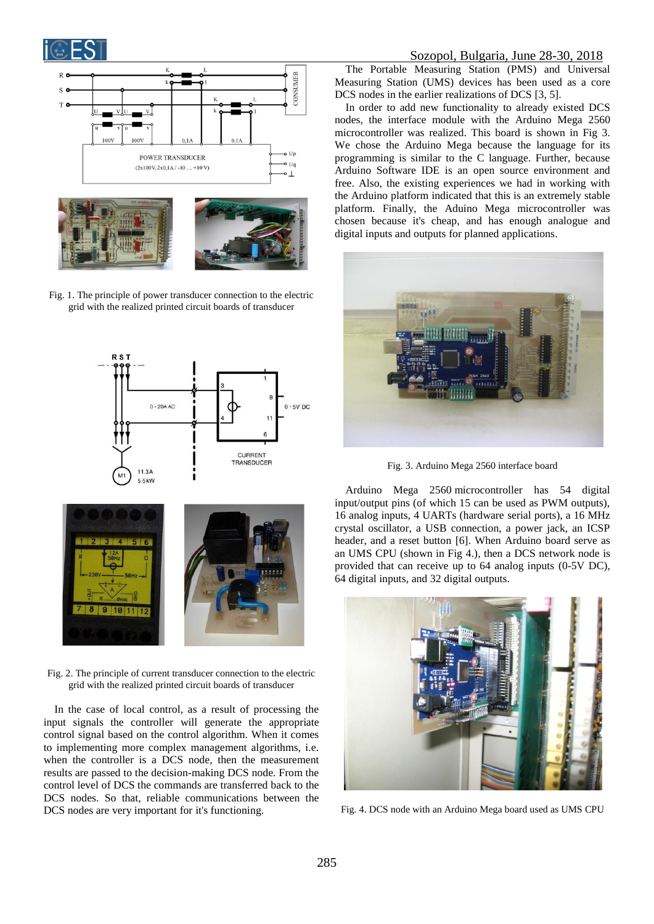



Fig. 1. The principle of power transducer connection to the electric grid with the realized printed circuit boards of transducer



Fig. 2. The principle of current transducer connection to the electric grid with the realized printed circuit boards of transducer

In the case of local control, as a result of processing the input signals the controller will generate the appropriate control signal based on the control algorithm. When it comes to implementing more complex management algorithms, i.e. when the controller is a DCS node, then the measurement results are passed to the decision-making DCS node. From the control level of DCS the commands are transferred back to the DCS nodes. So that, reliable communications between the DCS nodes are very important for it's functioning.

#### Sozopol, Bulgaria, June 28-30, 2018

The Portable Measuring Station (PMS) and Universal Measuring Station (UMS) devices has been used as a core DCS nodes in the earlier realizations of DCS [3, 5].

In order to add new functionality to already existed DCS nodes, the interface module with the Arduino Mega 2560 microcontroller was realized. This board is shown in Fig 3. We chose the Arduino Mega because the language for its programming is similar to the C language. Further, because Arduino Software IDE is an open source environment and free. Also, the existing experiences we had in working with the Arduino platform indicated that this is an extremely stable platform. Finally, the Aduino Mega microcontroller was chosen because it's cheap, and has enough analogue and digital inputs and outputs for planned applications.



Fig. 3. Arduino Mega 2560 interface board

Arduino Mega 2560 microcontroller has 54 digital input/output pins (of which 15 can be used as PWM outputs), 16 analog inputs, 4 UARTs (hardware serial ports), a 16 MHz crystal oscillator, a USB connection, a power jack, an ICSP header, and a reset button [6]. When Arduino board serve as an UMS CPU (shown in Fig 4.), then a DCS network node is provided that can receive up to 64 analog inputs (0-5V DC), 64 digital inputs, and 32 digital outputs.



Fig. 4. DCS node with an Arduino Mega board used as UMS CPU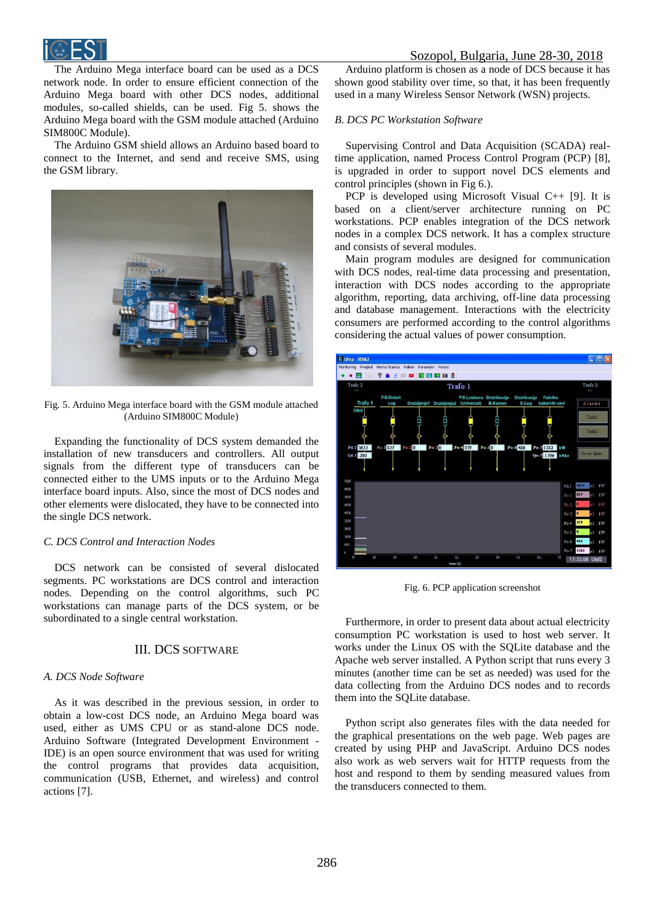

The Arduino Mega interface board can be used as a DCS network node. In order to ensure efficient connection of the Arduino Mega board with other DCS nodes, additional modules, so-called shields, can be used. Fig 5. shows the Arduino Mega board with the GSM module attached (Arduino SIM800C Module).

The Arduino GSM shield allows an Arduino based board to connect to the Internet, and send and receive SMS, using the GSM library.



Fig. 5. Arduino Mega interface board with the GSM module attached (Arduino SIM800C Module)

Expanding the functionality of DCS system demanded the installation of new transducers and controllers. All output signals from the different type of transducers can be connected either to the UMS inputs or to the Arduino Mega interface board inputs. Also, since the most of DCS nodes and other elements were dislocated, they have to be connected into the single DCS network.

#### *C. DCS Control and Interaction Nodes*

DCS network can be consisted of several dislocated segments. PC workstations are DCS control and interaction nodes. Depending on the control algorithms, such PC workstations can manage parts of the DCS system, or be subordinated to a single central workstation.

#### III. DCS SOFTWARE

#### *A. DCS Node Software*

As it was described in the previous session, in order to obtain a low-cost DCS node, an Arduino Mega board was used, either as UMS CPU or as stand-alone DCS node. Arduino Software (Integrated Development Environment - IDE) is an open source environment that was used for writing the control programs that provides data acquisition, communication (USB, Ethernet, and wireless) and control actions [7].

Arduino platform is chosen as a node of DCS because it has shown good stability over time, so that, it has been frequently used in a many Wireless Sensor Network (WSN) projects.

#### *B. DCS PC Workstation Software*

Supervising Control and Data Acquisition (SCADA) realtime application, named Process Control Program (PCP) [8], is upgraded in order to support novel DCS elements and control principles (shown in Fig 6.).

PCP is developed using Microsoft Visual C++ [9]. It is based on a client/server architecture running on PC workstations. PCP enables integration of the DCS network nodes in a complex DCS network. It has a complex structure and consists of several modules.

Main program modules are designed for communication with DCS nodes, real-time data processing and presentation, interaction with DCS nodes according to the appropriate algorithm, reporting, data archiving, off-line data processing and database management. Interactions with the electricity consumers are performed according to the control algorithms considering the actual values of power consumption.



Fig. 6. PCP application screenshot

Furthermore, in order to present data about actual electricity consumption PC workstation is used to host web server. It works under the Linux OS with the SQLite database and the Apache web server installed. A Python script that runs every 3 minutes (another time can be set as needed) was used for the data collecting from the Arduino DCS nodes and to records them into the SQLite database.

Python script also generates files with the data needed for the graphical presentations on the web page. Web pages are created by using PHP and JavaScript. Arduino DCS nodes also work as web servers wait for HTTP requests from the host and respond to them by sending measured values from the transducers connected to them.